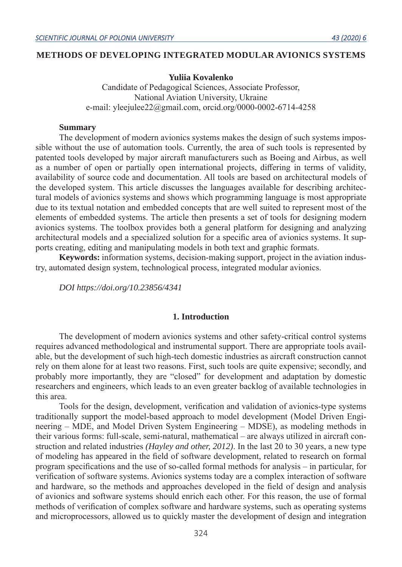### **METHODS OF DEVELOPING INTEGRATED MODULAR AVIONICS SYSTEMS**

### **Yuliia Kovalenko**

Candidate of Pedagogical Sciences, Associate Professor, National Aviation University, Ukraine e-mail: yleejulee22@gmail.com, orcid.org/0000-0002-6714-4258

#### **Summary**

The development of modern avionics systems makes the design of such systems impossible without the use of automation tools. Currently, the area of such tools is represented by patented tools developed by major aircraft manufacturers such as Boeing and Airbus, as well as a number of open or partially open international projects, differing in terms of validity, availability of source code and documentation. All tools are based on architectural models of the developed system. This article discusses the languages available for describing architectural models of avionics systems and shows which programming language is most appropriate due to its textual notation and embedded concepts that are well suited to represent most of the elements of embedded systems. The article then presents a set of tools for designing modern avionics systems. The toolbox provides both a general platform for designing and analyzing architectural models and a specialized solution for a specific area of avionics systems. It supports creating, editing and manipulating models in both text and graphic formats.

**Keywords:** information systems, decision-making support, project in the aviation industry, automated design system, technological process, integrated modular avionics.

*DOI https://doi.org/10.23856/4341*

#### **1. Introduction**

The development of modern avionics systems and other safety-critical control systems requires advanced methodological and instrumental support. There are appropriate tools available, but the development of such high-tech domestic industries as aircraft construction cannot rely on them alone for at least two reasons. First, such tools are quite expensive; secondly, and probably more importantly, they are "closed" for development and adaptation by domestic researchers and engineers, which leads to an even greater backlog of available technologies in this area.

Tools for the design, development, verification and validation of avionics-type systems traditionally support the model-based approach to model development (Model Driven Engineering – MDE, and Model Driven System Engineering – MDSE), as modeling methods in their various forms: full-scale, semi-natural, mathematical – are always utilized in aircraft construction and related industries *(Hayley and other, 2012)*. In the last 20 to 30 years, a new type of modeling has appeared in the field of software development, related to research on formal program specifications and the use of so-called formal methods for analysis – in particular, for verification of software systems. Avionics systems today are a complex interaction of software and hardware, so the methods and approaches developed in the field of design and analysis of avionics and software systems should enrich each other. For this reason, the use of formal methods of verification of complex software and hardware systems, such as operating systems and microprocessors, allowed us to quickly master the development of design and integration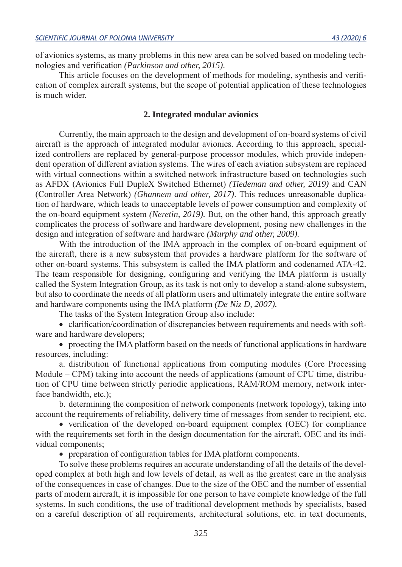of avionics systems, as many problems in this new area can be solved based on modeling technologies and verification *(Parkinson and other, 2015)*.

This article focuses on the development of methods for modeling, synthesis and verification of complex aircraft systems, but the scope of potential application of these technologies is much wider.

### **2. Integrated modular avionics**

Currently, the main approach to the design and development of on-board systems of civil aircraft is the approach of integrated modular avionics. According to this approach, specialized controllers are replaced by general-purpose processor modules, which provide independent operation of different aviation systems. The wires of each aviation subsystem are replaced with virtual connections within a switched network infrastructure based on technologies such as AFDX (Avionics Full DupleX Switched Ethernet) *(Tiedeman and other, 2019)* and CAN (Controller Area Network) *(Ghannem and other, 2017)*. This reduces unreasonable duplication of hardware, which leads to unacceptable levels of power consumption and complexity of the on-board equipment system *(Neretin, 2019).* But, on the other hand, this approach greatly complicates the process of software and hardware development, posing new challenges in the design and integration of software and hardware *(Murphy and other, 2009).*

With the introduction of the IMA approach in the complex of on-board equipment of the aircraft, there is a new subsystem that provides a hardware platform for the software of other on-board systems. This subsystem is called the IMA platform and codenamed ATA-42. The team responsible for designing, configuring and verifying the IMA platform is usually called the System Integration Group, as its task is not only to develop a stand-alone subsystem, but also to coordinate the needs of all platform users and ultimately integrate the entire software and hardware components using the IMA platform *(De Niz D, 2007).*

The tasks of the System Integration Group also include:

• clarification/coordination of discrepancies between requirements and needs with software and hardware developers;

• proecting the IMA platform based on the needs of functional applications in hardware resources, including:

a. distribution of functional applications from computing modules (Core Processing Module – CPM) taking into account the needs of applications (amount of CPU time, distribution of CPU time between strictly periodic applications, RAM/ROM memory, network interface bandwidth, etc.);

b. determining the composition of network components (network topology), taking into account the requirements of reliability, delivery time of messages from sender to recipient, etc.

• verification of the developed on-board equipment complex (OEC) for compliance with the requirements set forth in the design documentation for the aircraft, OEC and its individual components;

• preparation of configuration tables for IMA platform components.

To solve these problems requires an accurate understanding of all the details of the developed complex at both high and low levels of detail, as well as the greatest care in the analysis of the consequences in case of changes. Due to the size of the OEC and the number of essential parts of modern aircraft, it is impossible for one person to have complete knowledge of the full systems. In such conditions, the use of traditional development methods by specialists, based on a careful description of all requirements, architectural solutions, etc. in text documents,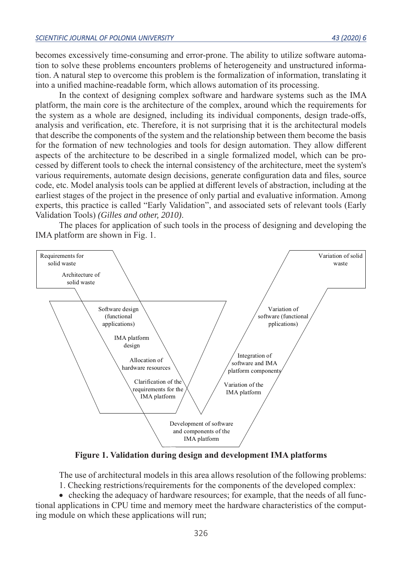becomes excessively time-consuming and error-prone. The ability to utilize software automation to solve these problems encounters problems of heterogeneity and unstructured information. A natural step to overcome this problem is the formalization of information, translating it into a unified machine-readable form, which allows automation of its processing.

In the context of designing complex software and hardware systems such as the IMA platform, the main core is the architecture of the complex, around which the requirements for the system as a whole are designed, including its individual components, design trade-offs, analysis and verification, etc. Therefore, it is not surprising that it is the architectural models that describe the components of the system and the relationship between them become the basis for the formation of new technologies and tools for design automation. They allow different aspects of the architecture to be described in a single formalized model, which can be processed by different tools to check the internal consistency of the architecture, meet the system's various requirements, automate design decisions, generate configuration data and files, source code, etc. Model analysis tools can be applied at different levels of abstraction, including at the earliest stages of the project in the presence of only partial and evaluative information. Among experts, this practice is called "Early Validation", and associated sets of relevant tools (Early Validation Tools) *(Gilles and other, 2010)*.

The places for application of such tools in the process of designing and developing the IMA platform are shown in Fig. 1.



**Figure 1. Validation during design and development IMA platforms**

The use of architectural models in this area allows resolution of the following problems: 1. Checking restrictions/requirements for the components of the developed complex:

• checking the adequacy of hardware resources; for example, that the needs of all func-

tional applications in CPU time and memory meet the hardware characteristics of the computing module on which these applications will run;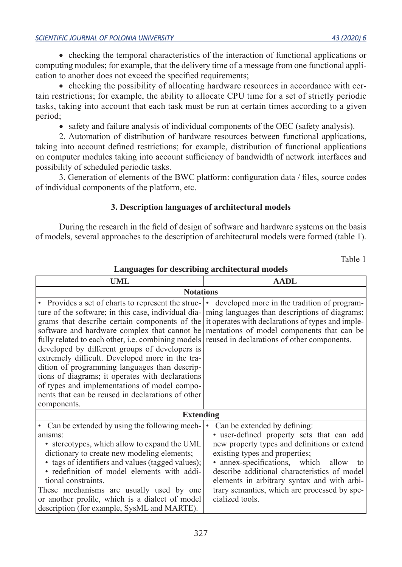• checking the temporal characteristics of the interaction of functional applications or computing modules; for example, that the delivery time of a message from one functional application to another does not exceed the specified requirements;

• checking the possibility of allocating hardware resources in accordance with certain restrictions; for example, the ability to allocate CPU time for a set of strictly periodic tasks, taking into account that each task must be run at certain times according to a given period;

• safety and failure analysis of individual components of the OEC (safety analysis).

2. Automation of distribution of hardware resources between functional applications, taking into account defined restrictions; for example, distribution of functional applications on computer modules taking into account sufficiency of bandwidth of network interfaces and possibility of scheduled periodic tasks.

3. Generation of elements of the BWC platform: configuration data / files, source codes of individual components of the platform, etc.

# **3. Description languages of architectural models**

During the research in the field of design of software and hardware systems on the basis of models, several approaches to the description of architectural models were formed (table 1).

Table 1

**Languages for describing architectural models**

| UML                                                                                                                                                                                                                                                                                                                                                                                                                                                                                                                                                                                                                                                                                                                                                                                                                                         | <b>AADL</b>                                                                                                                                                                                                                                                                                                                                                             |
|---------------------------------------------------------------------------------------------------------------------------------------------------------------------------------------------------------------------------------------------------------------------------------------------------------------------------------------------------------------------------------------------------------------------------------------------------------------------------------------------------------------------------------------------------------------------------------------------------------------------------------------------------------------------------------------------------------------------------------------------------------------------------------------------------------------------------------------------|-------------------------------------------------------------------------------------------------------------------------------------------------------------------------------------------------------------------------------------------------------------------------------------------------------------------------------------------------------------------------|
| <b>Notations</b>                                                                                                                                                                                                                                                                                                                                                                                                                                                                                                                                                                                                                                                                                                                                                                                                                            |                                                                                                                                                                                                                                                                                                                                                                         |
| • Provides a set of charts to represent the struc- • developed more in the tradition of program-<br>ture of the software; in this case, individual dia- ming languages than descriptions of diagrams;<br>grams that describe certain components of the $\vert$ it operates with declarations of types and imple-<br>software and hardware complex that cannot be mentations of model components that can be<br>fully related to each other, i.e. combining models reused in declarations of other components.<br>developed by different groups of developers is<br>extremely difficult. Developed more in the tra-<br>dition of programming languages than descrip-<br>tions of diagrams; it operates with declarations<br>of types and implementations of model compo-<br>nents that can be reused in declarations of other<br>components. |                                                                                                                                                                                                                                                                                                                                                                         |
| <b>Extending</b>                                                                                                                                                                                                                                                                                                                                                                                                                                                                                                                                                                                                                                                                                                                                                                                                                            |                                                                                                                                                                                                                                                                                                                                                                         |
| • Can be extended by using the following mech-<br>anisms:<br>• stereotypes, which allow to expand the UML<br>dictionary to create new modeling elements;<br>• tags of identifiers and values (tagged values);<br>· redefinition of model elements with addi-<br>tional constraints.<br>These mechanisms are usually used by one<br>or another profile, which is a dialect of model<br>description (for example, SysML and MARTE).                                                                                                                                                                                                                                                                                                                                                                                                           | Can be extended by defining:<br>• user-defined property sets that can add<br>new property types and definitions or extend<br>existing types and properties;<br>• annex-specifications, which allow to<br>describe additional characteristics of model<br>elements in arbitrary syntax and with arbi-<br>trary semantics, which are processed by spe-<br>cialized tools. |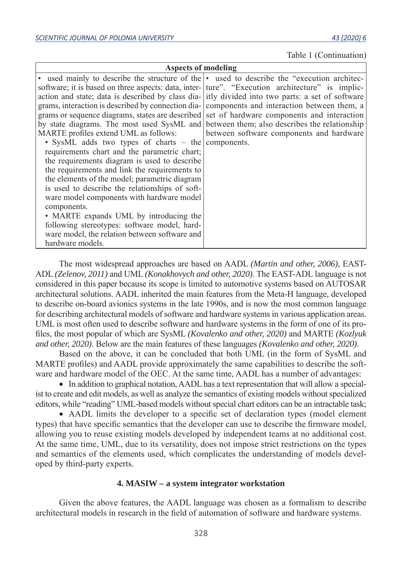Table 1 (Continuation)

| Aspects of modeling                                                                               |                                          |
|---------------------------------------------------------------------------------------------------|------------------------------------------|
| • used mainly to describe the structure of the • used to describe the "execution architec-        |                                          |
| software; it is based on three aspects: data, inter-   ture". "Execution architecture" is implic- |                                          |
| action and state; data is described by class dia- itly divided into two parts: a set of software  |                                          |
| grams, interaction is described by connection dia- components and interaction between them, a     |                                          |
| grams or sequence diagrams, states are described set of hardware components and interaction       |                                          |
| by state diagrams. The most used SysML and between them; also describes the relationship          |                                          |
| MARTE profiles extend UML as follows:                                                             | between software components and hardware |
| • SysML adds two types of charts – the components.                                                |                                          |
| requirements chart and the parametric chart;                                                      |                                          |
| the requirements diagram is used to describe                                                      |                                          |
| the requirements and link the requirements to                                                     |                                          |
| the elements of the model; parametric diagram                                                     |                                          |
| is used to describe the relationships of soft-                                                    |                                          |
| ware model components with hardware model                                                         |                                          |
| components.                                                                                       |                                          |
| • MARTE expands UML by introducing the                                                            |                                          |
| following stereotypes: software model, hard-                                                      |                                          |
| ware model, the relation between software and                                                     |                                          |
| hardware models.                                                                                  |                                          |

The most widespread approaches are based on AADL *(Martin and other, 2006)*, EAST-ADL *(Zelenov, 2011)* and UML *(Konakhovych and other, 2020)*. The EAST-ADL language is not considered in this paper because its scope is limited to automotive systems based on AUTOSAR architectural solutions. AADL inherited the main features from the Meta-H language, developed to describe on-board avionics systems in the late 1990s, and is now the most common language for describing architectural models of software and hardware systems in various application areas. UML is most often used to describe software and hardware systems in the form of one of its profiles, the most popular of which are SysML *(Kovalenko and other, 2020)* and MARTE *(Kozlyuk and other, 2020)*. Below are the main features of these languages *(Kovalenko and other, 2020)*.

Based on the above, it can be concluded that both UML (in the form of SysML and MARTE profiles) and AADL provide approximately the same capabilities to describe the software and hardware model of the OEC. At the same time, AADL has a number of advantages:

• In addition to graphical notation, AADL has a text representation that will allow a specialist to create and edit models, as well as analyze the semantics of existing models without specialized editors, while "reading" UML-based models without special chart editors can be an intractable task;

• AADL limits the developer to a specific set of declaration types (model element types) that have specific semantics that the developer can use to describe the firmware model, allowing you to reuse existing models developed by independent teams at no additional cost. At the same time, UML, due to its versatility, does not impose strict restrictions on the types and semantics of the elements used, which complicates the understanding of models developed by third-party experts.

### **4. MASIW – a system integrator workstation**

Given the above features, the AADL language was chosen as a formalism to describe architectural models in research in the field of automation of software and hardware systems.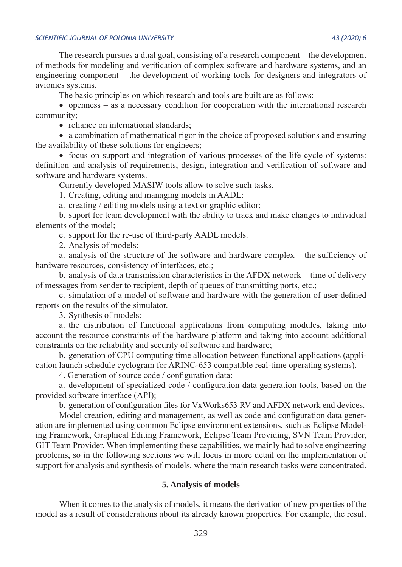The research pursues a dual goal, consisting of a research component – the development of methods for modeling and verification of complex software and hardware systems, and an engineering component – the development of working tools for designers and integrators of avionics systems.

The basic principles on which research and tools are built are as follows:

• openness – as a necessary condition for cooperation with the international research community;

• reliance on international standards;

• a combination of mathematical rigor in the choice of proposed solutions and ensuring the availability of these solutions for engineers;

• focus on support and integration of various processes of the life cycle of systems: definition and analysis of requirements, design, integration and verification of software and software and hardware systems.

Currently developed MASIW tools allow to solve such tasks.

1. Creating, editing and managing models in AADL:

a. creating / editing models using a text or graphic editor;

b. suport for team development with the ability to track and make changes to individual elements of the model;

c. support for the re-use of third-party AADL models.

2. Analysis of models:

a. analysis of the structure of the software and hardware complex – the sufficiency of hardware resources, consistency of interfaces, etc.;

b. analysis of data transmission characteristics in the AFDX network – time of delivery of messages from sender to recipient, depth of queues of transmitting ports, etc.;

c. simulation of a model of software and hardware with the generation of user-defined reports on the results of the simulator.

3. Synthesis of models:

a. the distribution of functional applications from computing modules, taking into account the resource constraints of the hardware platform and taking into account additional constraints on the reliability and security of software and hardware;

b. generation of CPU computing time allocation between functional applications (application launch schedule cyclogram for ARINC-653 compatible real-time operating systems).

4. Generation of source code / configuration data:

a. development of specialized code / configuration data generation tools, based on the provided software interface (API);

b. generation of configuration files for VxWorks653 RV and AFDX network end devices.

Model creation, editing and management, as well as code and configuration data generation are implemented using common Eclipse environment extensions, such as Eclipse Modeling Framework, Graphical Editing Framework, Eclipse Team Providing, SVN Team Provider, GIT Team Provider. When implementing these capabilities, we mainly had to solve engineering problems, so in the following sections we will focus in more detail on the implementation of support for analysis and synthesis of models, where the main research tasks were concentrated.

### **5. Analysis of models**

When it comes to the analysis of models, it means the derivation of new properties of the model as a result of considerations about its already known properties. For example, the result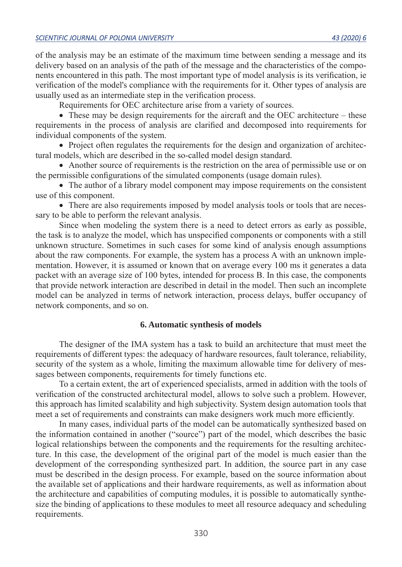of the analysis may be an estimate of the maximum time between sending a message and its delivery based on an analysis of the path of the message and the characteristics of the components encountered in this path. The most important type of model analysis is its verification, ie verification of the model's compliance with the requirements for it. Other types of analysis are usually used as an intermediate step in the verification process.

Requirements for OEC architecture arise from a variety of sources.

• These may be design requirements for the aircraft and the OEC architecture – these requirements in the process of analysis are clarified and decomposed into requirements for individual components of the system.

• Project often regulates the requirements for the design and organization of architectural models, which are described in the so-called model design standard.

• Another source of requirements is the restriction on the area of permissible use or on the permissible configurations of the simulated components (usage domain rules).

• The author of a library model component may impose requirements on the consistent use of this component.

• There are also requirements imposed by model analysis tools or tools that are necessary to be able to perform the relevant analysis.

Since when modeling the system there is a need to detect errors as early as possible, the task is to analyze the model, which has unspecified components or components with a still unknown structure. Sometimes in such cases for some kind of analysis enough assumptions about the raw components. For example, the system has a process A with an unknown implementation. However, it is assumed or known that on average every 100 ms it generates a data packet with an average size of 100 bytes, intended for process B. In this case, the components that provide network interaction are described in detail in the model. Then such an incomplete model can be analyzed in terms of network interaction, process delays, buffer occupancy of network components, and so on.

### **6. Automatic synthesis of models**

The designer of the IMA system has a task to build an architecture that must meet the requirements of different types: the adequacy of hardware resources, fault tolerance, reliability, security of the system as a whole, limiting the maximum allowable time for delivery of messages between components, requirements for timely functions etc.

To a certain extent, the art of experienced specialists, armed in addition with the tools of verification of the constructed architectural model, allows to solve such a problem. However, this approach has limited scalability and high subjectivity. System design automation tools that meet a set of requirements and constraints can make designers work much more efficiently.

In many cases, individual parts of the model can be automatically synthesized based on the information contained in another ("source") part of the model, which describes the basic logical relationships between the components and the requirements for the resulting architecture. In this case, the development of the original part of the model is much easier than the development of the corresponding synthesized part. In addition, the source part in any case must be described in the design process. For example, based on the source information about the available set of applications and their hardware requirements, as well as information about the architecture and capabilities of computing modules, it is possible to automatically synthesize the binding of applications to these modules to meet all resource adequacy and scheduling requirements.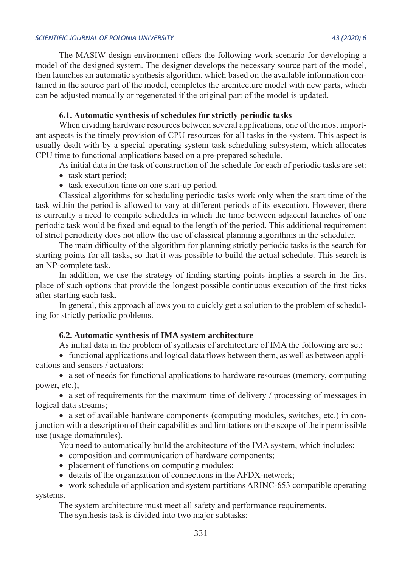The MASIW design environment offers the following work scenario for developing a model of the designed system. The designer develops the necessary source part of the model, then launches an automatic synthesis algorithm, which based on the available information contained in the source part of the model, completes the architecture model with new parts, which can be adjusted manually or regenerated if the original part of the model is updated.

## **6.1. Automatic synthesis of schedules for strictly periodic tasks**

When dividing hardware resources between several applications, one of the most important aspects is the timely provision of CPU resources for all tasks in the system. This aspect is usually dealt with by a special operating system task scheduling subsystem, which allocates CPU time to functional applications based on a pre-prepared schedule.

As initial data in the task of construction of the schedule for each of periodic tasks are set:

- task start period;
- task execution time on one start-up period.

Classical algorithms for scheduling periodic tasks work only when the start time of the task within the period is allowed to vary at different periods of its execution. However, there is currently a need to compile schedules in which the time between adjacent launches of one periodic task would be fixed and equal to the length of the period. This additional requirement of strict periodicity does not allow the use of classical planning algorithms in the scheduler.

The main difficulty of the algorithm for planning strictly periodic tasks is the search for starting points for all tasks, so that it was possible to build the actual schedule. This search is an NP-complete task.

In addition, we use the strategy of finding starting points implies a search in the first place of such options that provide the longest possible continuous execution of the first ticks after starting each task.

In general, this approach allows you to quickly get a solution to the problem of scheduling for strictly periodic problems.

# **6.2. Automatic synthesis of IMA system architecture**

As initial data in the problem of synthesis of architecture of IMA the following are set:

• functional applications and logical data flows between them, as well as between applications and sensors / actuators;

• a set of needs for functional applications to hardware resources (memory, computing power, etc.);

• a set of requirements for the maximum time of delivery / processing of messages in logical data streams;

• a set of available hardware components (computing modules, switches, etc.) in conjunction with a description of their capabilities and limitations on the scope of their permissible use (usage domainrules).

You need to automatically build the architecture of the IMA system, which includes:

- composition and communication of hardware components;
- placement of functions on computing modules;
- details of the organization of connections in the AFDX-network;

• work schedule of application and system partitions ARINC-653 compatible operating systems.

The system architecture must meet all safety and performance requirements.

The synthesis task is divided into two major subtasks: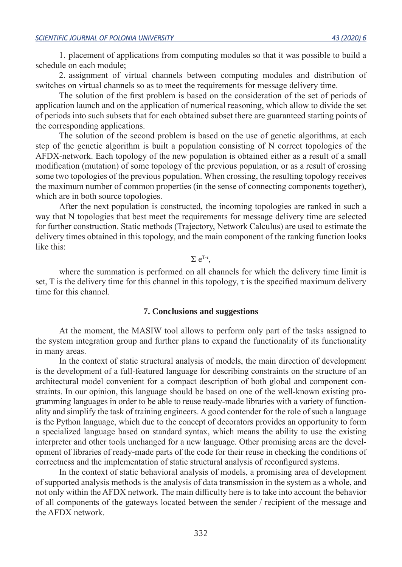1. placement of applications from computing modules so that it was possible to build a schedule on each module;

2. assignment of virtual channels between computing modules and distribution of switches on virtual channels so as to meet the requirements for message delivery time.

The solution of the first problem is based on the consideration of the set of periods of application launch and on the application of numerical reasoning, which allow to divide the set of periods into such subsets that for each obtained subset there are guaranteed starting points of the corresponding applications.

The solution of the second problem is based on the use of genetic algorithms, at each step of the genetic algorithm is built a population consisting of N correct topologies of the AFDX-network. Each topology of the new population is obtained either as a result of a small modification (mutation) of some topology of the previous population, or as a result of crossing some two topologies of the previous population. When crossing, the resulting topology receives the maximum number of common properties (in the sense of connecting components together), which are in both source topologies.

After the next population is constructed, the incoming topologies are ranked in such a way that N topologies that best meet the requirements for message delivery time are selected for further construction. Static methods (Trajectory, Network Calculus) are used to estimate the delivery times obtained in this topology, and the main component of the ranking function looks like this:

# $Σ e<sup>T-τ</sup>$ .

where the summation is performed on all channels for which the delivery time limit is set, T is the delivery time for this channel in this topology,  $\tau$  is the specified maximum delivery time for this channel.

### **7. Conclusions and suggestions**

At the moment, the MASIW tool allows to perform only part of the tasks assigned to the system integration group and further plans to expand the functionality of its functionality in many areas.

In the context of static structural analysis of models, the main direction of development is the development of a full-featured language for describing constraints on the structure of an architectural model convenient for a compact description of both global and component constraints. In our opinion, this language should be based on one of the well-known existing programming languages in order to be able to reuse ready-made libraries with a variety of functionality and simplify the task of training engineers. A good contender for the role of such a language is the Python language, which due to the concept of decorators provides an opportunity to form a specialized language based on standard syntax, which means the ability to use the existing interpreter and other tools unchanged for a new language. Other promising areas are the development of libraries of ready-made parts of the code for their reuse in checking the conditions of correctness and the implementation of static structural analysis of reconfigured systems.

In the context of static behavioral analysis of models, a promising area of development of supported analysis methods is the analysis of data transmission in the system as a whole, and not only within the AFDX network. The main difficulty here is to take into account the behavior of all components of the gateways located between the sender / recipient of the message and the AFDX network.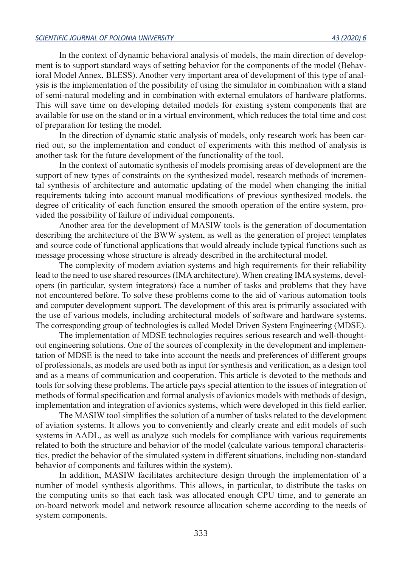In the context of dynamic behavioral analysis of models, the main direction of development is to support standard ways of setting behavior for the components of the model (Behavioral Model Annex, BLESS). Another very important area of development of this type of analysis is the implementation of the possibility of using the simulator in combination with a stand of semi-natural modeling and in combination with external emulators of hardware platforms. This will save time on developing detailed models for existing system components that are available for use on the stand or in a virtual environment, which reduces the total time and cost of preparation for testing the model.

In the direction of dynamic static analysis of models, only research work has been carried out, so the implementation and conduct of experiments with this method of analysis is another task for the future development of the functionality of the tool.

In the context of automatic synthesis of models promising areas of development are the support of new types of constraints on the synthesized model, research methods of incremental synthesis of architecture and automatic updating of the model when changing the initial requirements taking into account manual modifications of previous synthesized models. the degree of criticality of each function ensured the smooth operation of the entire system, provided the possibility of failure of individual components.

Another area for the development of MASIW tools is the generation of documentation describing the architecture of the BWW system, as well as the generation of project templates and source code of functional applications that would already include typical functions such as message processing whose structure is already described in the architectural model.

The complexity of modern aviation systems and high requirements for their reliability lead to the need to use shared resources (IMA architecture). When creating IMA systems, developers (in particular, system integrators) face a number of tasks and problems that they have not encountered before. To solve these problems come to the aid of various automation tools and computer development support. The development of this area is primarily associated with the use of various models, including architectural models of software and hardware systems. The corresponding group of technologies is called Model Driven System Engineering (MDSE).

The implementation of MDSE technologies requires serious research and well-thoughtout engineering solutions. One of the sources of complexity in the development and implementation of MDSE is the need to take into account the needs and preferences of different groups of professionals, as models are used both as input for synthesis and verification, as a design tool and as a means of communication and cooperation. This article is devoted to the methods and tools for solving these problems. The article pays special attention to the issues of integration of methods of formal specification and formal analysis of avionics models with methods of design, implementation and integration of avionics systems, which were developed in this field earlier.

The MASIW tool simplifies the solution of a number of tasks related to the development of aviation systems. It allows you to conveniently and clearly create and edit models of such systems in AADL, as well as analyze such models for compliance with various requirements related to both the structure and behavior of the model (calculate various temporal characteristics, predict the behavior of the simulated system in different situations, including non-standard behavior of components and failures within the system).

In addition, MASIW facilitates architecture design through the implementation of a number of model synthesis algorithms. This allows, in particular, to distribute the tasks on the computing units so that each task was allocated enough CPU time, and to generate an on-board network model and network resource allocation scheme according to the needs of system components.